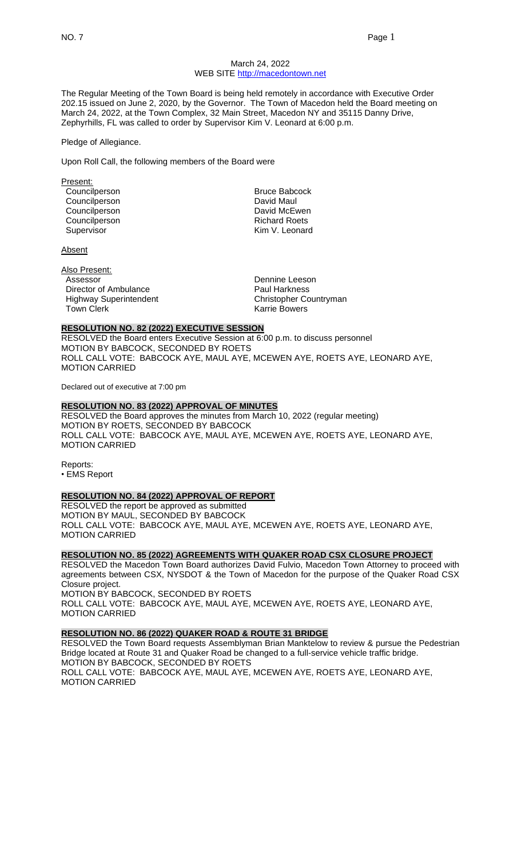### March 24, 2022 WEB SITE [http://macedontown.net](http://macedontown.net/)

The Regular Meeting of the Town Board is being held remotely in accordance with Executive Order 202.15 issued on June 2, 2020, by the Governor. The Town of Macedon held the Board meeting on March 24, 2022, at the Town Complex, 32 Main Street, Macedon NY and 35115 Danny Drive, Zephyrhills, FL was called to order by Supervisor Kim V. Leonard at 6:00 p.m.

#### Pledge of Allegiance.

Upon Roll Call, the following members of the Board were

Present: Councilperson **Bruce Babcock** Councilperson **David Maul** Councilperson **David McEwen** 

**Absent** 

Also Present: Assessor **Dennine** Leeson Director of Ambulance **Paul Harkness** Highway Superintendent Christopher Countryman Town Clerk **Karrie Bowers Karrie Bowers** 

Councilperson Council Council Council Council Council Council Council Council Council Council Council Council<br>
Richard Kim V. Leonard Kim V. Leonard

### **RESOLUTION NO. 82 (2022) EXECUTIVE SESSION**

RESOLVED the Board enters Executive Session at 6:00 p.m. to discuss personnel MOTION BY BABCOCK, SECONDED BY ROETS ROLL CALL VOTE: BABCOCK AYE, MAUL AYE, MCEWEN AYE, ROETS AYE, LEONARD AYE, MOTION CARRIED

Declared out of executive at 7:00 pm

## **RESOLUTION NO. 83 (2022) APPROVAL OF MINUTES**

RESOLVED the Board approves the minutes from March 10, 2022 (regular meeting) MOTION BY ROETS, SECONDED BY BABCOCK ROLL CALL VOTE: BABCOCK AYE, MAUL AYE, MCEWEN AYE, ROETS AYE, LEONARD AYE, MOTION CARRIED

Reports: • EMS Report

# **RESOLUTION NO. 84 (2022) APPROVAL OF REPORT**

RESOLVED the report be approved as submitted MOTION BY MAUL, SECONDED BY BABCOCK ROLL CALL VOTE: BABCOCK AYE, MAUL AYE, MCEWEN AYE, ROETS AYE, LEONARD AYE, MOTION CARRIED

### **RESOLUTION NO. 85 (2022) AGREEMENTS WITH QUAKER ROAD CSX CLOSURE PROJECT**

RESOLVED the Macedon Town Board authorizes David Fulvio, Macedon Town Attorney to proceed with agreements between CSX, NYSDOT & the Town of Macedon for the purpose of the Quaker Road CSX Closure project.

MOTION BY BABCOCK, SECONDED BY ROETS ROLL CALL VOTE: BABCOCK AYE, MAUL AYE, MCEWEN AYE, ROETS AYE, LEONARD AYE, MOTION CARRIED

## **RESOLUTION NO. 86 (2022) QUAKER ROAD & ROUTE 31 BRIDGE**

RESOLVED the Town Board requests Assemblyman Brian Manktelow to review & pursue the Pedestrian Bridge located at Route 31 and Quaker Road be changed to a full-service vehicle traffic bridge. MOTION BY BABCOCK, SECONDED BY ROETS ROLL CALL VOTE: BABCOCK AYE, MAUL AYE, MCEWEN AYE, ROETS AYE, LEONARD AYE, MOTION CARRIED